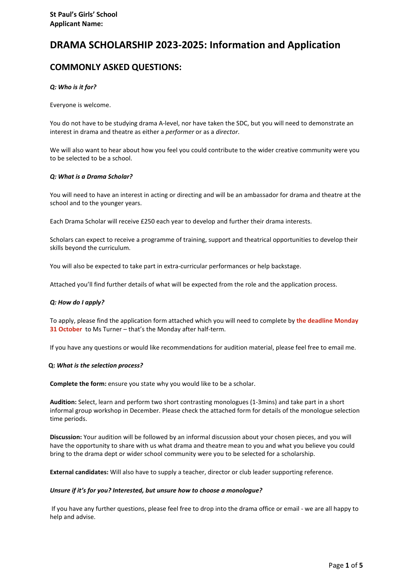# **DRAMA SCHOLARSHIP 2023-2025: Information and Application**

# **COMMONLY ASKED QUESTIONS:**

#### *Q: Who is it for?*

Everyone is welcome.

You do not have to be studying drama A-level, nor have taken the SDC, but you will need to demonstrate an interest in drama and theatre as either a *performer* or as a *director*.

We will also want to hear about how you feel you could contribute to the wider creative community were you to be selected to be a school.

#### *Q: What is a Drama Scholar?*

You will need to have an interest in acting or directing and will be an ambassador for drama and theatre at the school and to the younger years.

Each Drama Scholar will receive £250 each year to develop and further their drama interests.

Scholars can expect to receive a programme of training, support and theatrical opportunities to develop their skills beyond the curriculum.

You will also be expected to take part in extra-curricular performances or help backstage.

Attached you'll find further details of what will be expected from the role and the application process.

#### *Q: How do I apply?*

To apply, please find the application form attached which you will need to complete by **the deadline Monday 31 October** to Ms Turner – that's the Monday after half-term.

If you have any questions or would like recommendations for audition material, please feel free to email me.

#### **Q:** *What is the selection process?*

**Complete the form:** ensure you state why you would like to be a scholar.

**Audition:** Select, learn and perform two short contrasting monologues (1-3mins) and take part in a short informal group workshop in December. Please check the attached form for details of the monologue selection time periods.

**Discussion:** Your audition will be followed by an informal discussion about your chosen pieces, and you will have the opportunity to share with us what drama and theatre mean to you and what you believe you could bring to the drama dept or wider school community were you to be selected for a scholarship.

**External candidates:** Will also have to supply a teacher, director or club leader supporting reference.

#### *Unsure if it's for you? Interested, but unsure how to choose a monologue?*

If you have any further questions, please feel free to drop into the drama office or email - we are all happy to help and advise.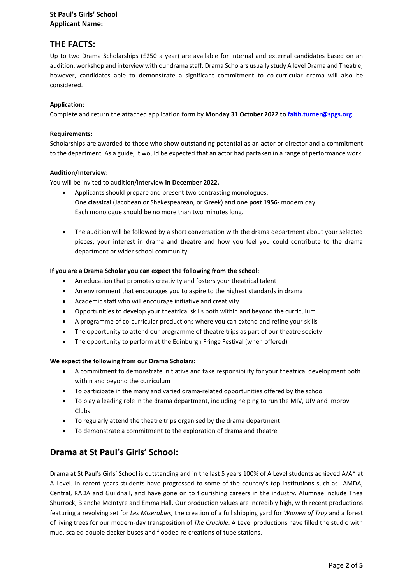### **St Paul's Girls' School Applicant Name:**

## **THE FACTS:**

Up to two Drama Scholarships (£250 a year) are available for internal and external candidates based on an audition, workshop and interview with our drama staff. Drama Scholars usually study A level Drama and Theatre; however, candidates able to demonstrate a significant commitment to co-curricular drama will also be considered.

### **Application:**

Complete and return the attached application form by **Monday 31 October 2022 to [faith.turner@spgs.org](mailto:faith.turner@spgs.org)**

#### **Requirements:**

Scholarships are awarded to those who show outstanding potential as an actor or director and a commitment to the department. As a guide, it would be expected that an actor had partaken in a range of performance work.

### **Audition/Interview:**

You will be invited to audition/interview **in December 2022.** 

- Applicants should prepare and present two contrasting monologues: One **classical** (Jacobean or Shakespearean, or Greek) and one **post 1956**- modern day. Each monologue should be no more than two minutes long.
- The audition will be followed by a short conversation with the drama department about your selected pieces; your interest in drama and theatre and how you feel you could contribute to the drama department or wider school community.

### **If you are a Drama Scholar you can expect the following from the school:**

- An education that promotes creativity and fosters your theatrical talent
- An environment that encourages you to aspire to the highest standards in drama
- Academic staff who will encourage initiative and creativity
- Opportunities to develop your theatrical skills both within and beyond the curriculum
- A programme of co-curricular productions where you can extend and refine your skills
- The opportunity to attend our programme of theatre trips as part of our theatre society
- The opportunity to perform at the Edinburgh Fringe Festival (when offered)

#### **We expect the following from our Drama Scholars:**

- A commitment to demonstrate initiative and take responsibility for your theatrical development both within and beyond the curriculum
- To participate in the many and varied drama-related opportunities offered by the school
- To play a leading role in the drama department, including helping to run the MIV, UIV and Improv Clubs
- To regularly attend the theatre trips organised by the drama department
- To demonstrate a commitment to the exploration of drama and theatre

## **Drama at St Paul's Girls' School:**

Drama at St Paul's Girls' School is outstanding and in the last 5 years 100% of A Level students achieved A/A\* at A Level. In recent years students have progressed to some of the country's top institutions such as LAMDA, Central, RADA and Guildhall, and have gone on to flourishing careers in the industry. Alumnae include Thea Shurrock, Blanche McIntyre and Emma Hall. Our production values are incredibly high, with recent productions featuring a revolving set for *Les Miserables,* the creation of a full shipping yard for *Women of Troy* and a forest of living trees for our modern-day transposition of *The Crucible*. A Level productions have filled the studio with mud, scaled double decker buses and flooded re-creations of tube stations.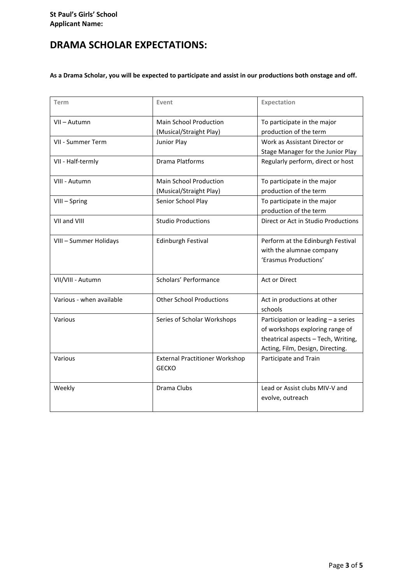# **DRAMA SCHOLAR EXPECTATIONS:**

**As a Drama Scholar, you will be expected to participate and assist in our productions both onstage and off.**

| Term                     | Event                                                    | Expectation                                                                                                                                       |  |
|--------------------------|----------------------------------------------------------|---------------------------------------------------------------------------------------------------------------------------------------------------|--|
| VII - Autumn             | <b>Main School Production</b><br>(Musical/Straight Play) | To participate in the major<br>production of the term                                                                                             |  |
| VII - Summer Term        | Junior Play                                              | Work as Assistant Director or<br>Stage Manager for the Junior Play                                                                                |  |
| VII - Half-termly        | Drama Platforms                                          | Regularly perform, direct or host                                                                                                                 |  |
| VIII - Autumn            | <b>Main School Production</b><br>(Musical/Straight Play) | To participate in the major<br>production of the term                                                                                             |  |
| VIII-Spring              | Senior School Play                                       | To participate in the major<br>production of the term                                                                                             |  |
| VII and VIII             | <b>Studio Productions</b>                                | Direct or Act in Studio Productions                                                                                                               |  |
| VIII - Summer Holidays   | <b>Edinburgh Festival</b>                                | Perform at the Edinburgh Festival<br>with the alumnae company<br>'Erasmus Productions'                                                            |  |
| VII/VIII - Autumn        | Scholars' Performance                                    | Act or Direct                                                                                                                                     |  |
| Various - when available | <b>Other School Productions</b>                          | Act in productions at other<br>schools                                                                                                            |  |
| Various                  | Series of Scholar Workshops                              | Participation or leading - a series<br>of workshops exploring range of<br>theatrical aspects - Tech, Writing,<br>Acting, Film, Design, Directing. |  |
| Various                  | <b>External Practitioner Workshop</b><br><b>GECKO</b>    | Participate and Train                                                                                                                             |  |
| Weekly                   | Drama Clubs                                              | Lead or Assist clubs MIV-V and<br>evolve, outreach                                                                                                |  |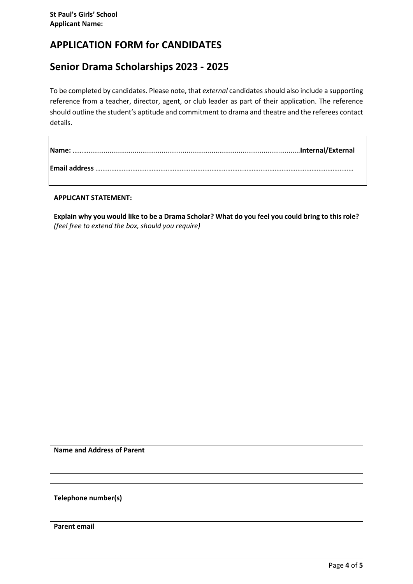# **APPLICATION FORM for CANDIDATES**

# **Senior Drama Scholarships 2023 - 2025**

To be completed by candidates. Please note, that *external* candidates should also include a supporting reference from a teacher, director, agent, or club leader as part of their application. The reference should outline the student's aptitude and commitment to drama and theatre and the referees contact details.

## **APPLICANT STATEMENT:**

 $\mathsf{r}$ 

**Explain why you would like to be a Drama Scholar? What do you feel you could bring to this role?**  *(feel free to extend the box, should you require)*

**Name and Address of Parent** 

**Telephone number(s)**

**Parent email**